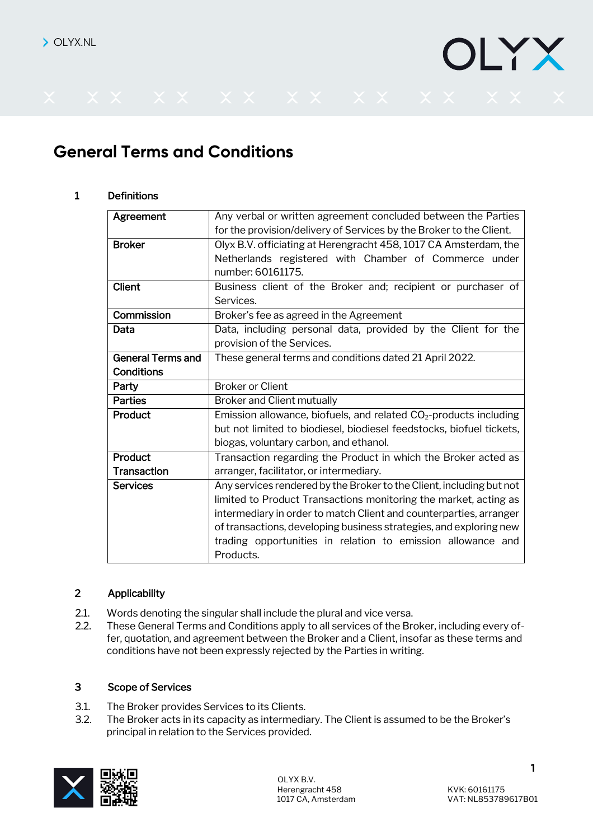# IYX

# **General Terms and Conditions**

# 1 Definitions

| Agreement                | Any verbal or written agreement concluded between the Parties        |
|--------------------------|----------------------------------------------------------------------|
|                          | for the provision/delivery of Services by the Broker to the Client.  |
| <b>Broker</b>            | Olyx B.V. officiating at Herengracht 458, 1017 CA Amsterdam, the     |
|                          | Netherlands registered with Chamber of Commerce under                |
|                          | number: 60161175.                                                    |
| Client                   | Business client of the Broker and; recipient or purchaser of         |
|                          | Services.                                                            |
| Commission               | Broker's fee as agreed in the Agreement                              |
| Data                     | Data, including personal data, provided by the Client for the        |
|                          | provision of the Services.                                           |
| <b>General Terms and</b> | These general terms and conditions dated 21 April 2022.              |
| <b>Conditions</b>        |                                                                      |
| Party                    | <b>Broker or Client</b>                                              |
| <b>Parties</b>           | <b>Broker and Client mutually</b>                                    |
| Product                  | Emission allowance, biofuels, and related $CO2$ -products including  |
|                          | but not limited to biodiesel, biodiesel feedstocks, biofuel tickets, |
|                          | biogas, voluntary carbon, and ethanol.                               |
| Product                  | Transaction regarding the Product in which the Broker acted as       |
| <b>Transaction</b>       | arranger, facilitator, or intermediary.                              |
| <b>Services</b>          | Any services rendered by the Broker to the Client, including but not |
|                          | limited to Product Transactions monitoring the market, acting as     |
|                          | intermediary in order to match Client and counterparties, arranger   |
|                          | of transactions, developing business strategies, and exploring new   |
|                          | trading opportunities in relation to emission allowance and          |
|                          | Products.                                                            |

#### 2 Applicability

- 2.1. Words denoting the singular shall include the plural and vice versa.
- 2.2. These General Terms and Conditions apply to all services of the Broker, including every offer, quotation, and agreement between the Broker and a Client, insofar as these terms and conditions have not been expressly rejected by the Parties in writing.

#### 3 Scope of Services

- 3.1. The Broker provides Services to its Clients.
- 3.2. The Broker acts in its capacity as intermediary. The Client is assumed to be the Broker's principal in relation to the Services provided.

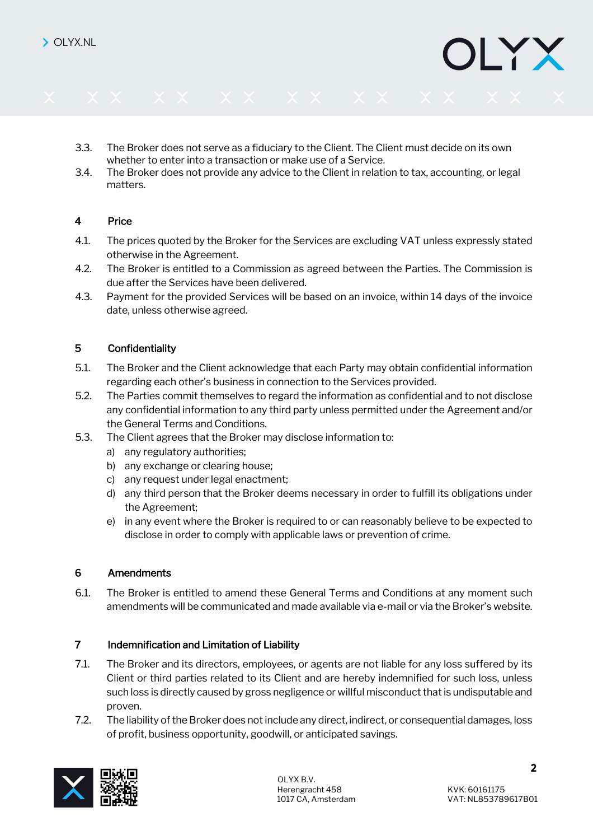- 3.3. The Broker does not serve as a fiduciary to the Client. The Client must decide on its own whether to enter into a transaction or make use of a Service.
- 3.4. The Broker does not provide any advice to the Client in relation to tax, accounting, or legal matters.

# 4 Price

- 4.1. The prices quoted by the Broker for the Services are excluding VAT unless expressly stated otherwise in the Agreement.
- 4.2. The Broker is entitled to a Commission as agreed between the Parties. The Commission is due after the Services have been delivered.
- 4.3. Payment for the provided Services will be based on an invoice, within 14 days of the invoice date, unless otherwise agreed.

#### 5 Confidentiality

- 5.1. The Broker and the Client acknowledge that each Party may obtain confidential information regarding each other's business in connection to the Services provided.
- 5.2. The Parties commit themselves to regard the information as confidential and to not disclose any confidential information to any third party unless permitted under the Agreement and/or the General Terms and Conditions.
- 5.3. The Client agrees that the Broker may disclose information to:
	- a) any regulatory authorities;
	- b) any exchange or clearing house;
	- c) any request under legal enactment;
	- d) any third person that the Broker deems necessary in order to fulfill its obligations under the Agreement;
	- e) in any event where the Broker is required to or can reasonably believe to be expected to disclose in order to comply with applicable laws or prevention of crime.

#### 6 Amendments

6.1. The Broker is entitled to amend these General Terms and Conditions at any moment such amendments will be communicated and made available via e-mail or via the Broker's website.

#### 7 Indemnification and Limitation of Liability

- 7.1. The Broker and its directors, employees, or agents are not liable for any loss suffered by its Client or third parties related to its Client and are hereby indemnified for such loss, unless such loss is directly caused by gross negligence or willful misconduct that is undisputable and proven.
- 7.2. The liability of the Broker does not include any direct, indirect, or consequential damages, loss of profit, business opportunity, goodwill, or anticipated savings.



IYX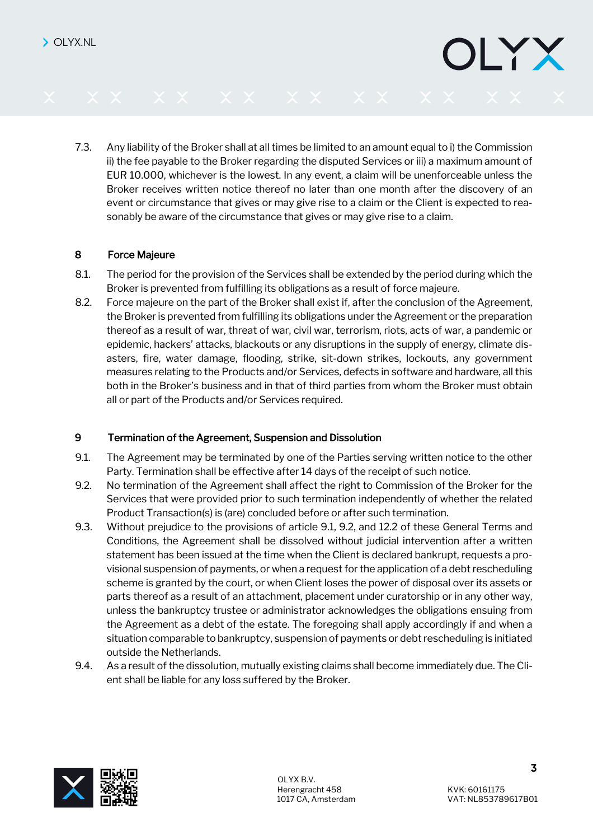7.3. Any liability of the Broker shall at all times be limited to an amount equal to i) the Commission ii) the fee payable to the Broker regarding the disputed Services or iii) a maximum amount of EUR 10.000, whichever is the lowest. In any event, a claim will be unenforceable unless the Broker receives written notice thereof no later than one month after the discovery of an event or circumstance that gives or may give rise to a claim or the Client is expected to reasonably be aware of the circumstance that gives or may give rise to a claim.

#### 8 Force Majeure

- 8.1. The period for the provision of the Services shall be extended by the period during which the Broker is prevented from fulfilling its obligations as a result of force majeure.
- 8.2. Force majeure on the part of the Broker shall exist if, after the conclusion of the Agreement, the Broker is prevented from fulfilling its obligations under the Agreement or the preparation thereof as a result of war, threat of war, civil war, terrorism, riots, acts of war, a pandemic or epidemic, hackers' attacks, blackouts or any disruptions in the supply of energy, climate disasters, fire, water damage, flooding, strike, sit-down strikes, lockouts, any government measures relating to the Products and/or Services, defects in software and hardware, all this both in the Broker's business and in that of third parties from whom the Broker must obtain all or part of the Products and/or Services required.

#### 9 Termination of the Agreement, Suspension and Dissolution

- 9.1. The Agreement may be terminated by one of the Parties serving written notice to the other Party. Termination shall be effective after 14 days of the receipt of such notice.
- 9.2. No termination of the Agreement shall affect the right to Commission of the Broker for the Services that were provided prior to such termination independently of whether the related Product Transaction(s) is (are) concluded before or after such termination.
- 9.3. Without prejudice to the provisions of article 9.1, 9.2, and 12.2 of these General Terms and Conditions, the Agreement shall be dissolved without judicial intervention after a written statement has been issued at the time when the Client is declared bankrupt, requests a provisional suspension of payments, or when a request for the application of a debt rescheduling scheme is granted by the court, or when Client loses the power of disposal over its assets or parts thereof as a result of an attachment, placement under curatorship or in any other way, unless the bankruptcy trustee or administrator acknowledges the obligations ensuing from the Agreement as a debt of the estate. The foregoing shall apply accordingly if and when a situation comparable to bankruptcy, suspension of payments or debt rescheduling is initiated outside the Netherlands.
- 9.4. As a result of the dissolution, mutually existing claims shall become immediately due. The Client shall be liable for any loss suffered by the Broker.



JLYX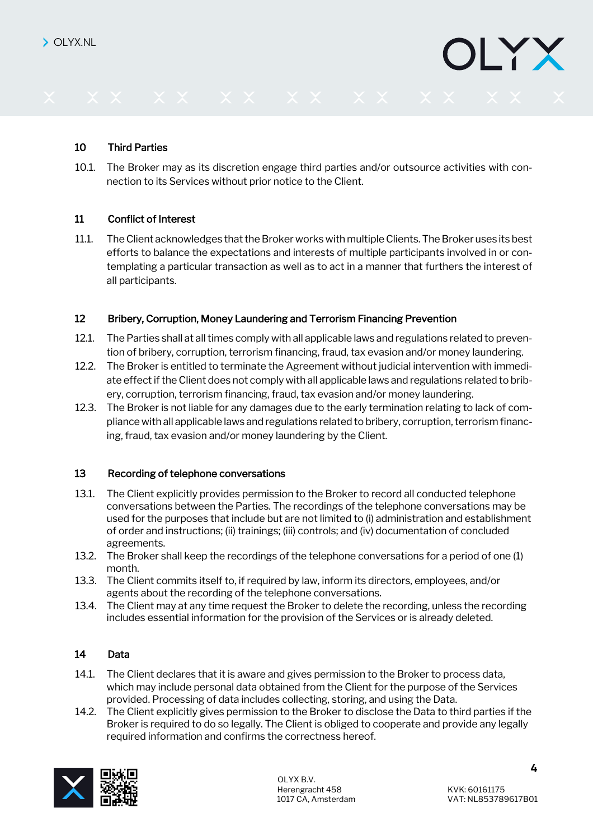### 10 Third Parties

10.1. The Broker may as its discretion engage third parties and/or outsource activities with connection to its Services without prior notice to the Client.

#### 11 Conflict of Interest

11.1. The Client acknowledges that the Broker works with multiple Clients. The Broker uses its best efforts to balance the expectations and interests of multiple participants involved in or contemplating a particular transaction as well as to act in a manner that furthers the interest of all participants.

#### 12 Bribery, Corruption, Money Laundering and Terrorism Financing Prevention

- 12.1. The Parties shall at all times comply with all applicable laws and regulations related to prevention of bribery, corruption, terrorism financing, fraud, tax evasion and/or money laundering.
- 12.2. The Broker is entitled to terminate the Agreement without judicial intervention with immediate effect if the Client does not comply with all applicable laws and regulations related to bribery, corruption, terrorism financing, fraud, tax evasion and/or money laundering.
- 12.3. The Broker is not liable for any damages due to the early termination relating to lack of compliance with all applicable laws and regulations related to bribery, corruption, terrorism financing, fraud, tax evasion and/or money laundering by the Client.

#### 13 Recording of telephone conversations

- 13.1. The Client explicitly provides permission to the Broker to record all conducted telephone conversations between the Parties. The recordings of the telephone conversations may be used for the purposes that include but are not limited to (i) administration and establishment of order and instructions; (ii) trainings; (iii) controls; and (iv) documentation of concluded agreements.
- 13.2. The Broker shall keep the recordings of the telephone conversations for a period of one (1) month.
- 13.3. The Client commits itself to, if required by law, inform its directors, employees, and/or agents about the recording of the telephone conversations.
- 13.4. The Client may at any time request the Broker to delete the recording, unless the recording includes essential information for the provision of the Services or is already deleted.

#### 14 Data

- 14.1. The Client declares that it is aware and gives permission to the Broker to process data, which may include personal data obtained from the Client for the purpose of the Services provided. Processing of data includes collecting, storing, and using the Data.
- 14.2. The Client explicitly gives permission to the Broker to disclose the Data to third parties if the Broker is required to do so legally. The Client is obliged to cooperate and provide any legally required information and confirms the correctness hereof.



LYX